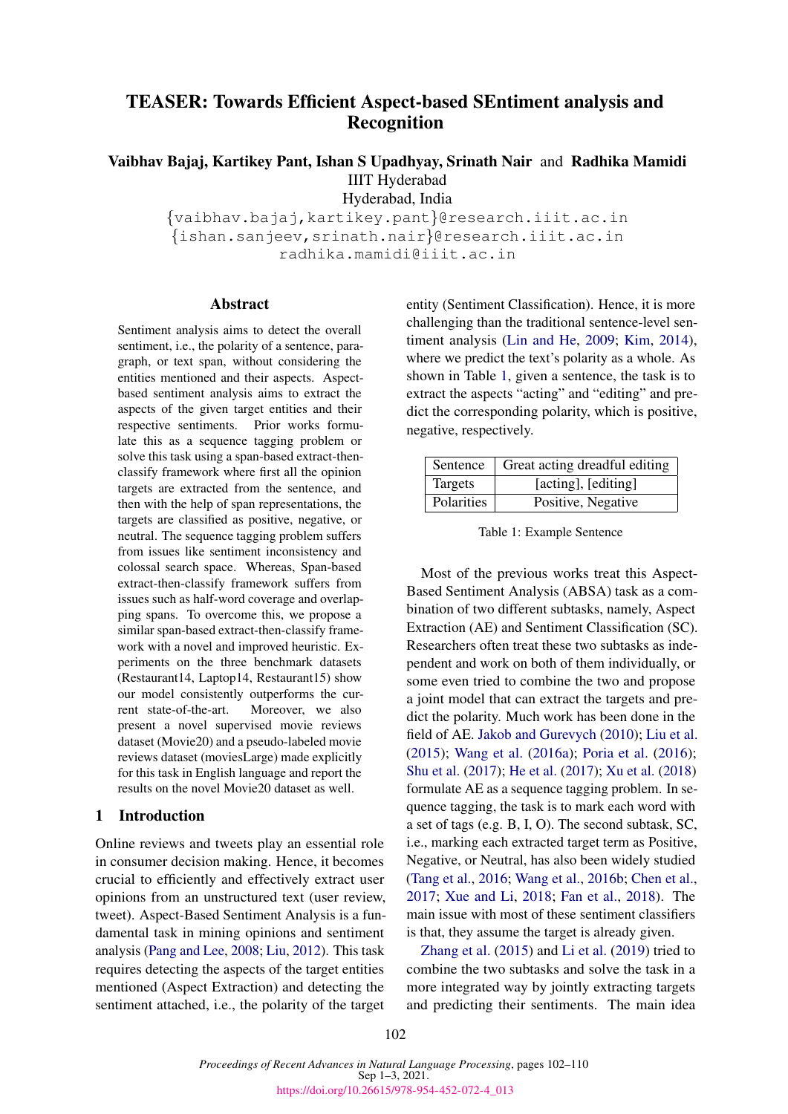# TEASER: Towards Efficient Aspect-based SEntiment analysis and Recognition

# Vaibhav Bajaj, Kartikey Pant, Ishan S Upadhyay, Srinath Nair and Radhika Mamidi IIIT Hyderabad

Hyderabad, India

{vaibhav.bajaj,kartikey.pant}@research.iiit.ac.in {ishan.sanjeev,srinath.nair}@research.iiit.ac.in radhika.mamidi@iiit.ac.in

#### Abstract

Sentiment analysis aims to detect the overall sentiment, i.e., the polarity of a sentence, paragraph, or text span, without considering the entities mentioned and their aspects. Aspectbased sentiment analysis aims to extract the aspects of the given target entities and their respective sentiments. Prior works formulate this as a sequence tagging problem or solve this task using a span-based extract-thenclassify framework where first all the opinion targets are extracted from the sentence, and then with the help of span representations, the targets are classified as positive, negative, or neutral. The sequence tagging problem suffers from issues like sentiment inconsistency and colossal search space. Whereas, Span-based extract-then-classify framework suffers from issues such as half-word coverage and overlapping spans. To overcome this, we propose a similar span-based extract-then-classify framework with a novel and improved heuristic. Experiments on the three benchmark datasets (Restaurant14, Laptop14, Restaurant15) show our model consistently outperforms the current state-of-the-art. Moreover, we also present a novel supervised movie reviews dataset (Movie20) and a pseudo-labeled movie reviews dataset (moviesLarge) made explicitly for this task in English language and report the results on the novel Movie20 dataset as well.

# 1 Introduction

Online reviews and tweets play an essential role in consumer decision making. Hence, it becomes crucial to efficiently and effectively extract user opinions from an unstructured text (user review, tweet). Aspect-Based Sentiment Analysis is a fundamental task in mining opinions and sentiment analysis [\(Pang and Lee,](#page-8-0) [2008;](#page-8-0) [Liu,](#page-8-1) [2012\)](#page-8-1). This task requires detecting the aspects of the target entities mentioned (Aspect Extraction) and detecting the sentiment attached, i.e., the polarity of the target

entity (Sentiment Classification). Hence, it is more challenging than the traditional sentence-level sentiment analysis [\(Lin and He,](#page-8-2) [2009;](#page-8-2) [Kim,](#page-7-0) [2014\)](#page-7-0), where we predict the text's polarity as a whole. As shown in Table [1,](#page-0-0) given a sentence, the task is to extract the aspects "acting" and "editing" and predict the corresponding polarity, which is positive, negative, respectively.

<span id="page-0-0"></span>

| Sentence   | Great acting dreadful editing |
|------------|-------------------------------|
| Targets    | [acting], [editing]           |
| Polarities | Positive, Negative            |

Table 1: Example Sentence

Most of the previous works treat this Aspect-Based Sentiment Analysis (ABSA) task as a combination of two different subtasks, namely, Aspect Extraction (AE) and Sentiment Classification (SC). Researchers often treat these two subtasks as independent and work on both of them individually, or some even tried to combine the two and propose a joint model that can extract the targets and predict the polarity. Much work has been done in the field of AE. [Jakob and Gurevych](#page-7-1) [\(2010\)](#page-7-1); [Liu et al.](#page-8-3) [\(2015\)](#page-8-3); [Wang et al.](#page-8-4) [\(2016a\)](#page-8-4); [Poria et al.](#page-8-5) [\(2016\)](#page-8-5); [Shu et al.](#page-8-6) [\(2017\)](#page-8-6); [He et al.](#page-7-2) [\(2017\)](#page-7-2); [Xu et al.](#page-8-7) [\(2018\)](#page-8-7) formulate AE as a sequence tagging problem. In sequence tagging, the task is to mark each word with a set of tags (e.g. B, I, O). The second subtask, SC, i.e., marking each extracted target term as Positive, Negative, or Neutral, has also been widely studied [\(Tang et al.,](#page-8-8) [2016;](#page-8-8) [Wang et al.,](#page-8-9) [2016b;](#page-8-9) [Chen et al.,](#page-7-3) [2017;](#page-7-3) [Xue and Li,](#page-8-10) [2018;](#page-8-10) [Fan et al.,](#page-7-4) [2018\)](#page-7-4). The main issue with most of these sentiment classifiers is that, they assume the target is already given.

[Zhang et al.](#page-8-11) [\(2015\)](#page-8-11) and [Li et al.](#page-8-12) [\(2019\)](#page-8-12) tried to combine the two subtasks and solve the task in a more integrated way by jointly extracting targets and predicting their sentiments. The main idea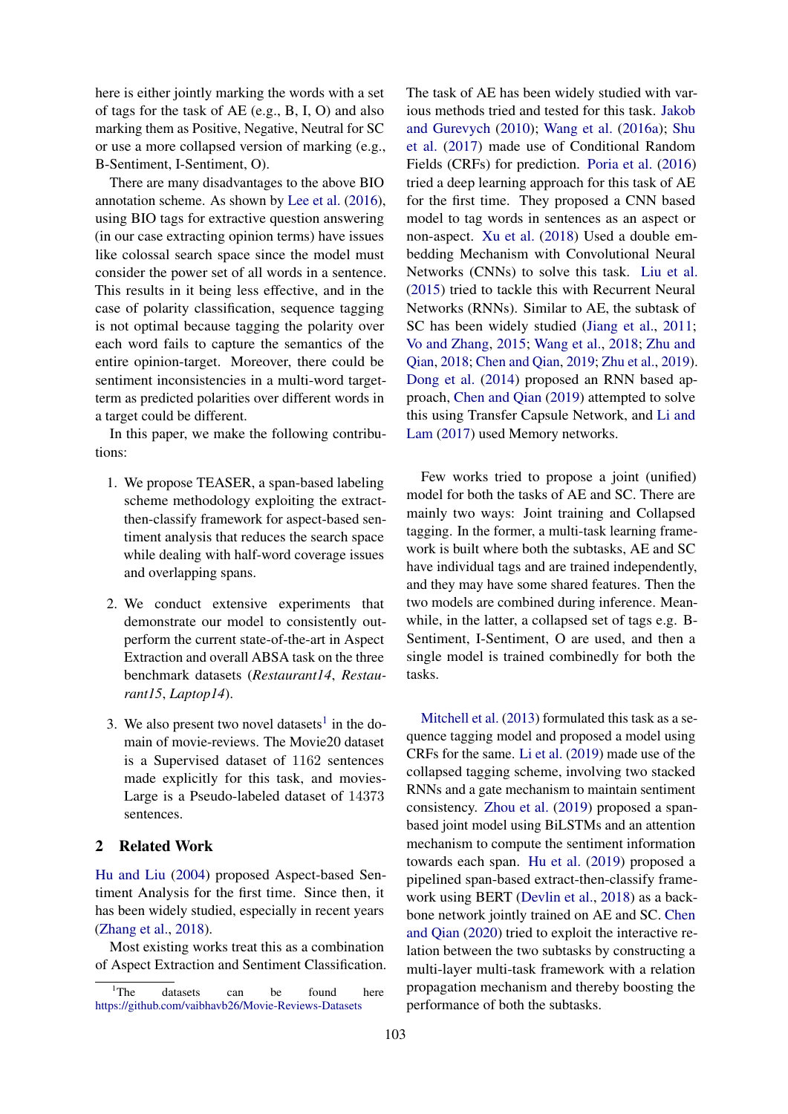here is either jointly marking the words with a set of tags for the task of AE (e.g., B, I, O) and also marking them as Positive, Negative, Neutral for SC or use a more collapsed version of marking (e.g., B-Sentiment, I-Sentiment, O).

There are many disadvantages to the above BIO annotation scheme. As shown by [Lee et al.](#page-8-13) [\(2016\)](#page-8-13), using BIO tags for extractive question answering (in our case extracting opinion terms) have issues like colossal search space since the model must consider the power set of all words in a sentence. This results in it being less effective, and in the case of polarity classification, sequence tagging is not optimal because tagging the polarity over each word fails to capture the semantics of the entire opinion-target. Moreover, there could be sentiment inconsistencies in a multi-word targetterm as predicted polarities over different words in a target could be different.

In this paper, we make the following contributions:

- 1. We propose TEASER, a span-based labeling scheme methodology exploiting the extractthen-classify framework for aspect-based sentiment analysis that reduces the search space while dealing with half-word coverage issues and overlapping spans.
- 2. We conduct extensive experiments that demonstrate our model to consistently outperform the current state-of-the-art in Aspect Extraction and overall ABSA task on the three benchmark datasets (*Restaurant14*, *Restaurant15*, *Laptop14*).
- 3. We also present two novel datasets<sup>[1](#page-1-0)</sup> in the domain of movie-reviews. The Movie20 dataset is a Supervised dataset of 1162 sentences made explicitly for this task, and movies-Large is a Pseudo-labeled dataset of 14373 sentences.

# 2 Related Work

[Hu and Liu](#page-7-5) [\(2004\)](#page-7-5) proposed Aspect-based Sentiment Analysis for the first time. Since then, it has been widely studied, especially in recent years [\(Zhang et al.,](#page-8-14) [2018\)](#page-8-14).

Most existing works treat this as a combination of Aspect Extraction and Sentiment Classification. The task of AE has been widely studied with various methods tried and tested for this task. [Jakob](#page-7-1) [and Gurevych](#page-7-1) [\(2010\)](#page-7-1); [Wang et al.](#page-8-4) [\(2016a\)](#page-8-4); [Shu](#page-8-6) [et al.](#page-8-6) [\(2017\)](#page-8-6) made use of Conditional Random Fields (CRFs) for prediction. [Poria et al.](#page-8-5) [\(2016\)](#page-8-5) tried a deep learning approach for this task of AE for the first time. They proposed a CNN based model to tag words in sentences as an aspect or non-aspect. [Xu et al.](#page-8-7) [\(2018\)](#page-8-7) Used a double embedding Mechanism with Convolutional Neural Networks (CNNs) to solve this task. [Liu et al.](#page-8-3) [\(2015\)](#page-8-3) tried to tackle this with Recurrent Neural Networks (RNNs). Similar to AE, the subtask of SC has been widely studied [\(Jiang et al.,](#page-7-6) [2011;](#page-7-6) [Vo and Zhang,](#page-8-15) [2015;](#page-8-15) [Wang et al.,](#page-8-16) [2018;](#page-8-16) [Zhu and](#page-8-17) [Qian,](#page-8-17) [2018;](#page-8-17) [Chen and Qian,](#page-7-7) [2019;](#page-7-7) [Zhu et al.,](#page-8-18) [2019\)](#page-8-18). [Dong et al.](#page-7-8) [\(2014\)](#page-7-8) proposed an RNN based approach, [Chen and Qian](#page-7-7) [\(2019\)](#page-7-7) attempted to solve this using Transfer Capsule Network, and [Li and](#page-8-19) [Lam](#page-8-19) [\(2017\)](#page-8-19) used Memory networks.

Few works tried to propose a joint (unified) model for both the tasks of AE and SC. There are mainly two ways: Joint training and Collapsed tagging. In the former, a multi-task learning framework is built where both the subtasks, AE and SC have individual tags and are trained independently, and they may have some shared features. Then the two models are combined during inference. Meanwhile, in the latter, a collapsed set of tags e.g. B-Sentiment, I-Sentiment, O are used, and then a single model is trained combinedly for both the tasks.

[Mitchell et al.](#page-8-20) [\(2013\)](#page-8-20) formulated this task as a sequence tagging model and proposed a model using CRFs for the same. [Li et al.](#page-8-12) [\(2019\)](#page-8-12) made use of the collapsed tagging scheme, involving two stacked RNNs and a gate mechanism to maintain sentiment consistency. [Zhou et al.](#page-8-21) [\(2019\)](#page-8-21) proposed a spanbased joint model using BiLSTMs and an attention mechanism to compute the sentiment information towards each span. [Hu et al.](#page-7-9) [\(2019\)](#page-7-9) proposed a pipelined span-based extract-then-classify framework using BERT [\(Devlin et al.,](#page-7-10) [2018\)](#page-7-10) as a backbone network jointly trained on AE and SC. [Chen](#page-7-11) [and Qian](#page-7-11) [\(2020\)](#page-7-11) tried to exploit the interactive relation between the two subtasks by constructing a multi-layer multi-task framework with a relation propagation mechanism and thereby boosting the performance of both the subtasks.

<span id="page-1-0"></span> $1$ <sup>1</sup>The datasets can be found here <https://github.com/vaibhavb26/Movie-Reviews-Datasets>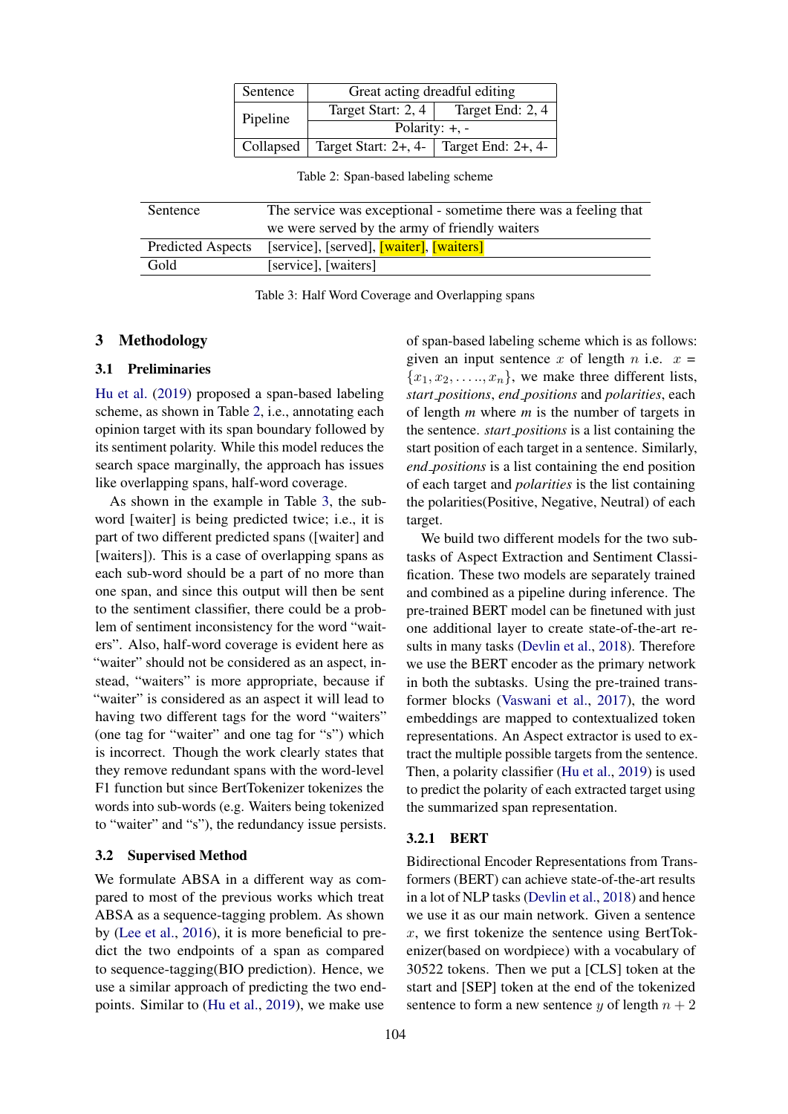| Sentence | Great acting dreadful editing                             |                  |  |  |  |  |
|----------|-----------------------------------------------------------|------------------|--|--|--|--|
| Pipeline | Target Start: 2, 4                                        | Target End: 2, 4 |  |  |  |  |
|          | Polarity: $+, -$                                          |                  |  |  |  |  |
|          | Collapsed   Target Start: $2+, 4-$   Target End: $2+, 4-$ |                  |  |  |  |  |

Table 2: Span-based labeling scheme

<span id="page-2-1"></span><span id="page-2-0"></span>

| Sentence                 | The service was exceptional - sometime there was a feeling that |  |  |  |  |  |  |
|--------------------------|-----------------------------------------------------------------|--|--|--|--|--|--|
|                          | we were served by the army of friendly waiters                  |  |  |  |  |  |  |
| <b>Predicted Aspects</b> | [service], [served], <b>[waiter]</b> , <b>[waiters]</b>         |  |  |  |  |  |  |
| Gold                     | [service], [waiters]                                            |  |  |  |  |  |  |
|                          |                                                                 |  |  |  |  |  |  |

Table 3: Half Word Coverage and Overlapping spans

# 3 Methodology

# 3.1 Preliminaries

[Hu et al.](#page-7-9) [\(2019\)](#page-7-9) proposed a span-based labeling scheme, as shown in Table [2,](#page-2-0) i.e., annotating each opinion target with its span boundary followed by its sentiment polarity. While this model reduces the search space marginally, the approach has issues like overlapping spans, half-word coverage.

As shown in the example in Table [3,](#page-2-1) the subword [waiter] is being predicted twice; i.e., it is part of two different predicted spans ([waiter] and [waiters]). This is a case of overlapping spans as each sub-word should be a part of no more than one span, and since this output will then be sent to the sentiment classifier, there could be a problem of sentiment inconsistency for the word "waiters". Also, half-word coverage is evident here as "waiter" should not be considered as an aspect, instead, "waiters" is more appropriate, because if "waiter" is considered as an aspect it will lead to having two different tags for the word "waiters" (one tag for "waiter" and one tag for "s") which is incorrect. Though the work clearly states that they remove redundant spans with the word-level F1 function but since BertTokenizer tokenizes the words into sub-words (e.g. Waiters being tokenized to "waiter" and "s"), the redundancy issue persists.

#### 3.2 Supervised Method

We formulate ABSA in a different way as compared to most of the previous works which treat ABSA as a sequence-tagging problem. As shown by [\(Lee et al.,](#page-8-13) [2016\)](#page-8-13), it is more beneficial to predict the two endpoints of a span as compared to sequence-tagging(BIO prediction). Hence, we use a similar approach of predicting the two endpoints. Similar to [\(Hu et al.,](#page-7-9) [2019\)](#page-7-9), we make use of span-based labeling scheme which is as follows: given an input sentence x of length n i.e.  $x =$  ${x_1, x_2, \ldots, x_n}$ , we make three different lists, *start positions*, *end positions* and *polarities*, each of length *m* where *m* is the number of targets in the sentence. *start positions* is a list containing the start position of each target in a sentence. Similarly, *end positions* is a list containing the end position of each target and *polarities* is the list containing the polarities(Positive, Negative, Neutral) of each target.

We build two different models for the two subtasks of Aspect Extraction and Sentiment Classification. These two models are separately trained and combined as a pipeline during inference. The pre-trained BERT model can be finetuned with just one additional layer to create state-of-the-art results in many tasks [\(Devlin et al.,](#page-7-10) [2018\)](#page-7-10). Therefore we use the BERT encoder as the primary network in both the subtasks. Using the pre-trained transformer blocks [\(Vaswani et al.,](#page-8-22) [2017\)](#page-8-22), the word embeddings are mapped to contextualized token representations. An Aspect extractor is used to extract the multiple possible targets from the sentence. Then, a polarity classifier [\(Hu et al.,](#page-7-9) [2019\)](#page-7-9) is used to predict the polarity of each extracted target using the summarized span representation.

#### 3.2.1 BERT

Bidirectional Encoder Representations from Transformers (BERT) can achieve state-of-the-art results in a lot of NLP tasks [\(Devlin et al.,](#page-7-10) [2018\)](#page-7-10) and hence we use it as our main network. Given a sentence  $x$ , we first tokenize the sentence using BertTokenizer(based on wordpiece) with a vocabulary of 30522 tokens. Then we put a [CLS] token at the start and [SEP] token at the end of the tokenized sentence to form a new sentence y of length  $n + 2$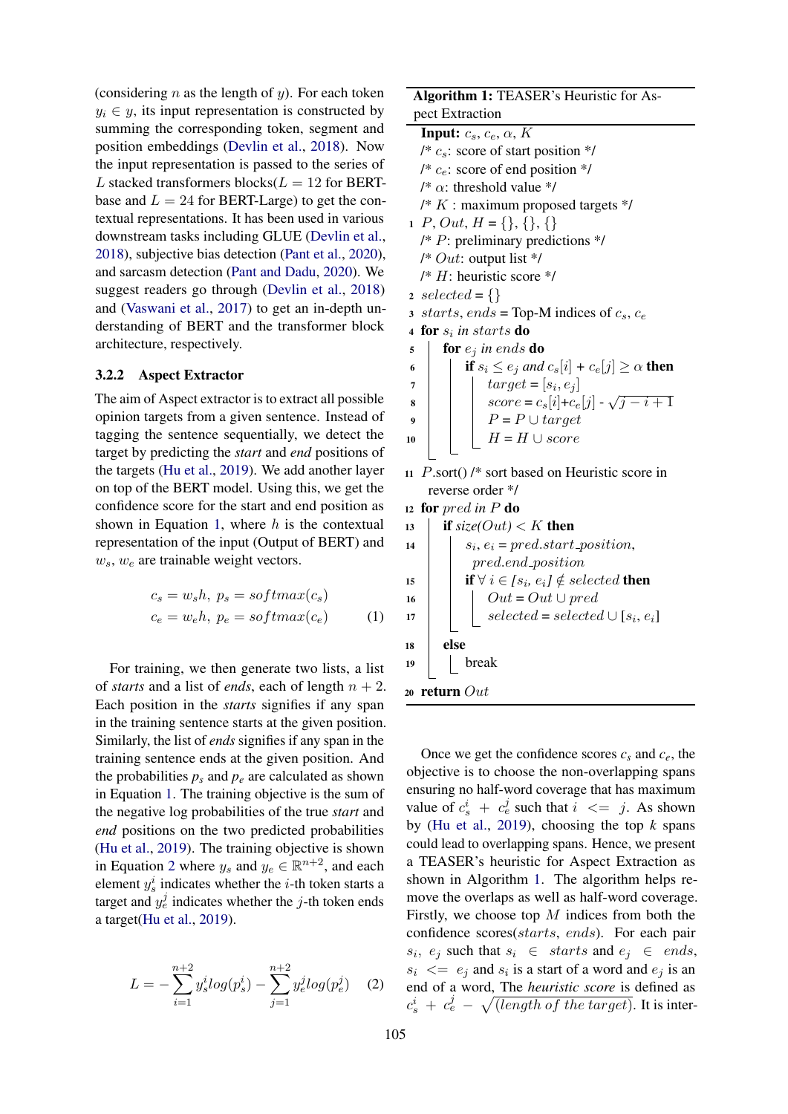(considering  $n$  as the length of  $y$ ). For each token  $y_i \in y$ , its input representation is constructed by summing the corresponding token, segment and position embeddings [\(Devlin et al.,](#page-7-10) [2018\)](#page-7-10). Now the input representation is passed to the series of L stacked transformers blocks( $L = 12$  for BERTbase and  $L = 24$  for BERT-Large) to get the contextual representations. It has been used in various downstream tasks including GLUE [\(Devlin et al.,](#page-7-10) [2018\)](#page-7-10), subjective bias detection [\(Pant et al.,](#page-8-23) [2020\)](#page-8-23), and sarcasm detection [\(Pant and Dadu,](#page-8-24) [2020\)](#page-8-24). We suggest readers go through [\(Devlin et al.,](#page-7-10) [2018\)](#page-7-10) and [\(Vaswani et al.,](#page-8-22) [2017\)](#page-8-22) to get an in-depth understanding of BERT and the transformer block architecture, respectively.

## 3.2.2 Aspect Extractor

The aim of Aspect extractor is to extract all possible opinion targets from a given sentence. Instead of tagging the sentence sequentially, we detect the target by predicting the *start* and *end* positions of the targets [\(Hu et al.,](#page-7-9) [2019\)](#page-7-9). We add another layer on top of the BERT model. Using this, we get the confidence score for the start and end position as shown in Equation [1,](#page-3-0) where  $h$  is the contextual representation of the input (Output of BERT) and  $w_s, w_e$  are trainable weight vectors.

<span id="page-3-0"></span>
$$
c_s = w_s h, p_s = softmax(c_s)
$$
  

$$
c_e = w_e h, p_e = softmax(c_e)
$$
 (1)

For training, we then generate two lists, a list of *starts* and a list of *ends*, each of length  $n + 2$ . Each position in the *starts* signifies if any span in the training sentence starts at the given position. Similarly, the list of *ends* signifies if any span in the training sentence ends at the given position. And the probabilities  $p_s$  and  $p_e$  are calculated as shown in Equation [1.](#page-3-0) The training objective is the sum of the negative log probabilities of the true *start* and *end* positions on the two predicted probabilities [\(Hu et al.,](#page-7-9) [2019\)](#page-7-9). The training objective is shown in Equation [2](#page-3-1) where  $y_s$  and  $y_e \in \mathbb{R}^{n+2}$ , and each element  $y_s^i$  indicates whether the *i*-th token starts a target and  $y_e^j$  indicates whether the j-th token ends a target[\(Hu et al.,](#page-7-9) [2019\)](#page-7-9).

<span id="page-3-1"></span>
$$
L = -\sum_{i=1}^{n+2} y_s^i \log(p_s^i) - \sum_{j=1}^{n+2} y_e^j \log(p_e^j) \quad (2)
$$

Algorithm 1: TEASER's Heuristic for Aspect Extraction

<span id="page-3-2"></span>**Input:**  $c_s$ ,  $c_e$ ,  $\alpha$ ,  $K$ /\*  $c_s$ : score of start position \*/ /\*  $c_e$ : score of end position \*/ /\*  $\alpha$ : threshold value \*/  $/* K$ : maximum proposed targets  $*/$ 1 P, Out,  $H = \{\}, \{\}, \{\}$  $/* P:$  preliminary predictions  $*/$ /\*  $Out:$  output list \*/  $/* H$ : heuristic score  $*/$ 2 selected =  $\{\}$ 3 starts, ends = Top-M indices of  $c_s$ ,  $c_e$ <sup>4</sup> for s<sup>i</sup> *in* starts do  $\mathfrak{s}$  for  $e_i$  *in ends* do 6 **i** if  $s_i \le e_j$  and  $c_s[i] + c_e[j] \ge \alpha$  then  $\begin{array}{c|c} \hline \end{array}$   $\begin{array}{|c|c|} \hline \end{array} target = [s_i,e_j]$ 8  $\vert$   $\vert$   $score = c_s[i] + c_e[j]$ √  $j-i+1$ 9 | |  $P = P \cup target$ 10  $\mid \cdot \mid H = H \cup score$ <sup>11</sup> P.sort() /\* sort based on Heuristic score in reverse order \*/

<sup>12</sup> for pred *in* P do

| $s_i, e_i = pred.start\_position,$<br>14<br>pred.end_position<br><b>if</b> $\forall i \in [s_i, e_i] \notin selected$ then<br>15<br>$Out = Out \cup pred$<br>selected = selected $\cup [s_i, e_i]$<br>16<br>17<br>else<br>18<br>break<br>19 |  |
|---------------------------------------------------------------------------------------------------------------------------------------------------------------------------------------------------------------------------------------------|--|
|                                                                                                                                                                                                                                             |  |
|                                                                                                                                                                                                                                             |  |
|                                                                                                                                                                                                                                             |  |
|                                                                                                                                                                                                                                             |  |
|                                                                                                                                                                                                                                             |  |
|                                                                                                                                                                                                                                             |  |
|                                                                                                                                                                                                                                             |  |
| 20 return $Out$                                                                                                                                                                                                                             |  |

Once we get the confidence scores  $c_s$  and  $c_e$ , the objective is to choose the non-overlapping spans ensuring no half-word coverage that has maximum value of  $c_s^i + c_e^j$  such that  $i \leq j$ . As shown by [\(Hu et al.,](#page-7-9) [2019\)](#page-7-9), choosing the top *k* spans could lead to overlapping spans. Hence, we present a TEASER's heuristic for Aspect Extraction as shown in Algorithm [1.](#page-3-2) The algorithm helps remove the overlaps as well as half-word coverage. Firstly, we choose top  $M$  indices from both the confidence scores(starts, ends). For each pair  $s_i, e_j$  such that  $s_i \in starts$  and  $e_j \in ends$ ,  $s_i \leq s_j$  and  $s_i$  is a start of a word and  $e_j$  is an end of a word, The *heuristic score* is defined as  $c_s^i + c_e^j - \sqrt{(\text{length of the target})}$ . It is inter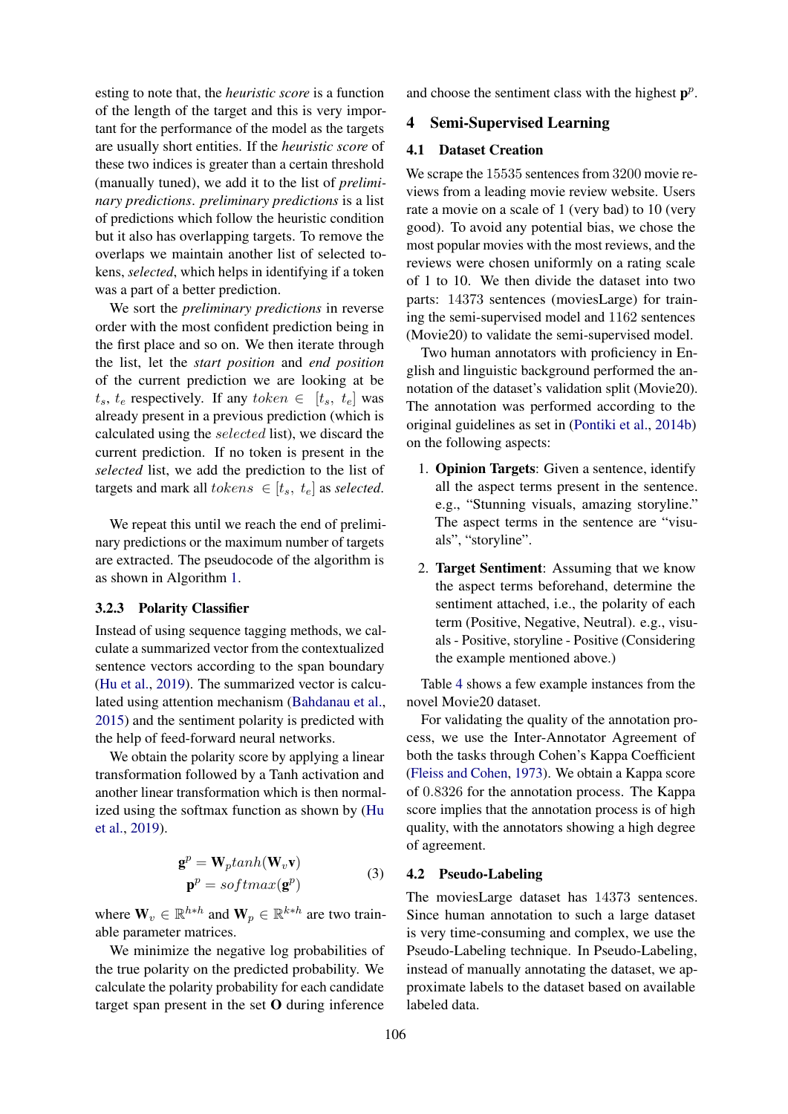esting to note that, the *heuristic score* is a function of the length of the target and this is very important for the performance of the model as the targets are usually short entities. If the *heuristic score* of these two indices is greater than a certain threshold (manually tuned), we add it to the list of *preliminary predictions*. *preliminary predictions* is a list of predictions which follow the heuristic condition but it also has overlapping targets. To remove the overlaps we maintain another list of selected tokens, *selected*, which helps in identifying if a token was a part of a better prediction.

We sort the *preliminary predictions* in reverse order with the most confident prediction being in the first place and so on. We then iterate through the list, let the *start position* and *end position* of the current prediction we are looking at be  $t_s$ ,  $t_e$  respectively. If any  $token \in [t_s, t_e]$  was already present in a previous prediction (which is calculated using the selected list), we discard the current prediction. If no token is present in the *selected* list, we add the prediction to the list of targets and mark all  $tokens \in [t_s, t_e]$  as *selected*.

We repeat this until we reach the end of preliminary predictions or the maximum number of targets are extracted. The pseudocode of the algorithm is as shown in Algorithm [1.](#page-3-2)

#### 3.2.3 Polarity Classifier

Instead of using sequence tagging methods, we calculate a summarized vector from the contextualized sentence vectors according to the span boundary [\(Hu et al.,](#page-7-9) [2019\)](#page-7-9). The summarized vector is calculated using attention mechanism [\(Bahdanau et al.,](#page-7-12) [2015\)](#page-7-12) and the sentiment polarity is predicted with the help of feed-forward neural networks.

We obtain the polarity score by applying a linear transformation followed by a Tanh activation and another linear transformation which is then normalized using the softmax function as shown by [\(Hu](#page-7-9) [et al.,](#page-7-9) [2019\)](#page-7-9).

$$
\mathbf{g}^p = \mathbf{W}_p \tanh(\mathbf{W}_v \mathbf{v})
$$
  

$$
\mathbf{p}^p = \text{softmax}(\mathbf{g}^p)
$$
 (3)

where  $\mathbf{W}_v \in \mathbb{R}^{h * h}$  and  $\mathbf{W}_p \in \mathbb{R}^{k * h}$  are two trainable parameter matrices.

We minimize the negative log probabilities of the true polarity on the predicted probability. We calculate the polarity probability for each candidate target span present in the set O during inference and choose the sentiment class with the highest  $p^p$ .

# 4 Semi-Supervised Learning

### 4.1 Dataset Creation

We scrape the 15535 sentences from 3200 movie reviews from a leading movie review website. Users rate a movie on a scale of 1 (very bad) to 10 (very good). To avoid any potential bias, we chose the most popular movies with the most reviews, and the reviews were chosen uniformly on a rating scale of 1 to 10. We then divide the dataset into two parts: 14373 sentences (moviesLarge) for training the semi-supervised model and 1162 sentences (Movie20) to validate the semi-supervised model.

Two human annotators with proficiency in English and linguistic background performed the annotation of the dataset's validation split (Movie20). The annotation was performed according to the original guidelines as set in [\(Pontiki et al.,](#page-8-25) [2014b\)](#page-8-25) on the following aspects:

- 1. Opinion Targets: Given a sentence, identify all the aspect terms present in the sentence. e.g., "Stunning visuals, amazing storyline." The aspect terms in the sentence are "visuals", "storyline".
- 2. Target Sentiment: Assuming that we know the aspect terms beforehand, determine the sentiment attached, i.e., the polarity of each term (Positive, Negative, Neutral). e.g., visuals - Positive, storyline - Positive (Considering the example mentioned above.)

Table [4](#page-5-0) shows a few example instances from the novel Movie20 dataset.

For validating the quality of the annotation process, we use the Inter-Annotator Agreement of both the tasks through Cohen's Kappa Coefficient [\(Fleiss and Cohen,](#page-7-13) [1973\)](#page-7-13). We obtain a Kappa score of 0.8326 for the annotation process. The Kappa score implies that the annotation process is of high quality, with the annotators showing a high degree of agreement.

#### 4.2 Pseudo-Labeling

The moviesLarge dataset has 14373 sentences. Since human annotation to such a large dataset is very time-consuming and complex, we use the Pseudo-Labeling technique. In Pseudo-Labeling, instead of manually annotating the dataset, we approximate labels to the dataset based on available labeled data.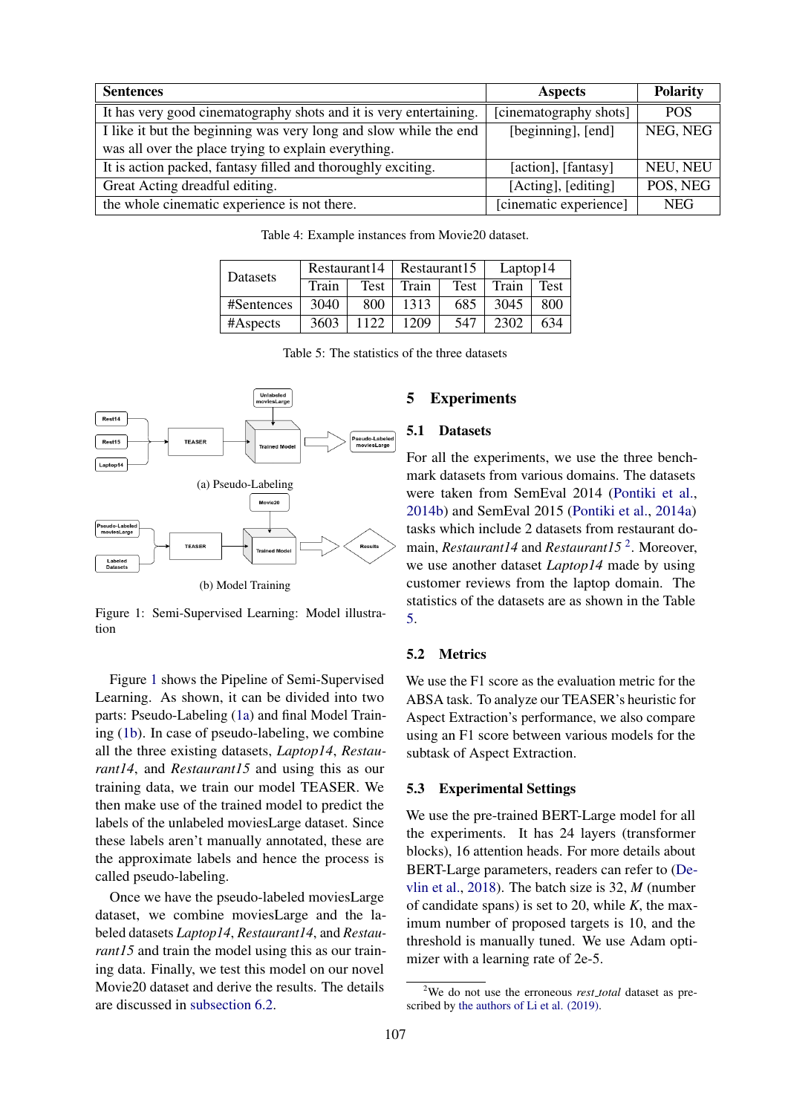<span id="page-5-0"></span>

| <b>Sentences</b>                                                   | <b>Aspects</b>         | <b>Polarity</b> |
|--------------------------------------------------------------------|------------------------|-----------------|
| It has very good cinematography shots and it is very entertaining. | [cinematography shots] | <b>POS</b>      |
| I like it but the beginning was very long and slow while the end   | [beginning], [end]     | NEG, NEG        |
| was all over the place trying to explain everything.               |                        |                 |
| It is action packed, fantasy filled and thoroughly exciting.       | [action], [fantasy]    | NEU, NEU        |
| Great Acting dreadful editing.                                     | [Acting], [editing]    | POS, NEG        |
| the whole cinematic experience is not there.                       | [cinematic experience] | <b>NEG</b>      |

Table 4: Example instances from Movie20 dataset.

<span id="page-5-3"></span>

| Datasets   | Restaurant14 |      | Restaurant15 |      | Laptop14 |      |
|------------|--------------|------|--------------|------|----------|------|
|            | Train        | Test | Train        | Test | Train    | Test |
| #Sentences | 3040         | 800  | 1313         | 685  | 3045     | 800  |
| #Aspects   | 3603         | 1122 | 1209         | 547  | 2302     | 634  |

Table 5: The statistics of the three datasets

<span id="page-5-1"></span>

Figure 1: Semi-Supervised Learning: Model illustration

Figure [1](#page-5-1) shows the Pipeline of Semi-Supervised Learning. As shown, it can be divided into two parts: Pseudo-Labeling [\(1a\)](#page-5-1) and final Model Training [\(1b\)](#page-5-1). In case of pseudo-labeling, we combine all the three existing datasets, *Laptop14*, *Restaurant14*, and *Restaurant15* and using this as our training data, we train our model TEASER. We then make use of the trained model to predict the labels of the unlabeled moviesLarge dataset. Since these labels aren't manually annotated, these are the approximate labels and hence the process is called pseudo-labeling.

Once we have the pseudo-labeled moviesLarge dataset, we combine moviesLarge and the labeled datasets *Laptop14*, *Restaurant14*, and *Restaurant15* and train the model using this as our training data. Finally, we test this model on our novel Movie20 dataset and derive the results. The details are discussed in [subsection 6.2.](#page-6-0)

# 5 Experiments

# 5.1 Datasets

For all the experiments, we use the three benchmark datasets from various domains. The datasets were taken from SemEval 2014 [\(Pontiki et al.,](#page-8-25) [2014b\)](#page-8-25) and SemEval 2015 [\(Pontiki et al.,](#page-8-26) [2014a\)](#page-8-26) tasks which include 2 datasets from restaurant domain, *Restaurant14* and *Restaurant15*<sup>[2](#page-5-2)</sup>. Moreover, we use another dataset *Laptop14* made by using customer reviews from the laptop domain. The statistics of the datasets are as shown in the Table [5.](#page-5-3)

## 5.2 Metrics

We use the F1 score as the evaluation metric for the ABSA task. To analyze our TEASER's heuristic for Aspect Extraction's performance, we also compare using an F1 score between various models for the subtask of Aspect Extraction.

## 5.3 Experimental Settings

We use the pre-trained BERT-Large model for all the experiments. It has 24 layers (transformer blocks), 16 attention heads. For more details about BERT-Large parameters, readers can refer to [\(De](#page-7-10)[vlin et al.,](#page-7-10) [2018\)](#page-7-10). The batch size is 32, *M* (number of candidate spans) is set to 20, while *K*, the maximum number of proposed targets is 10, and the threshold is manually tuned. We use Adam optimizer with a learning rate of 2e-5.

<span id="page-5-2"></span><sup>2</sup>We do not use the erroneous *rest total* dataset as prescribed by [the authors of Li et al. \(2019\).](https://github.com/lixin4ever/E2E-TBSA/blob/master/README.md#updated-results-important)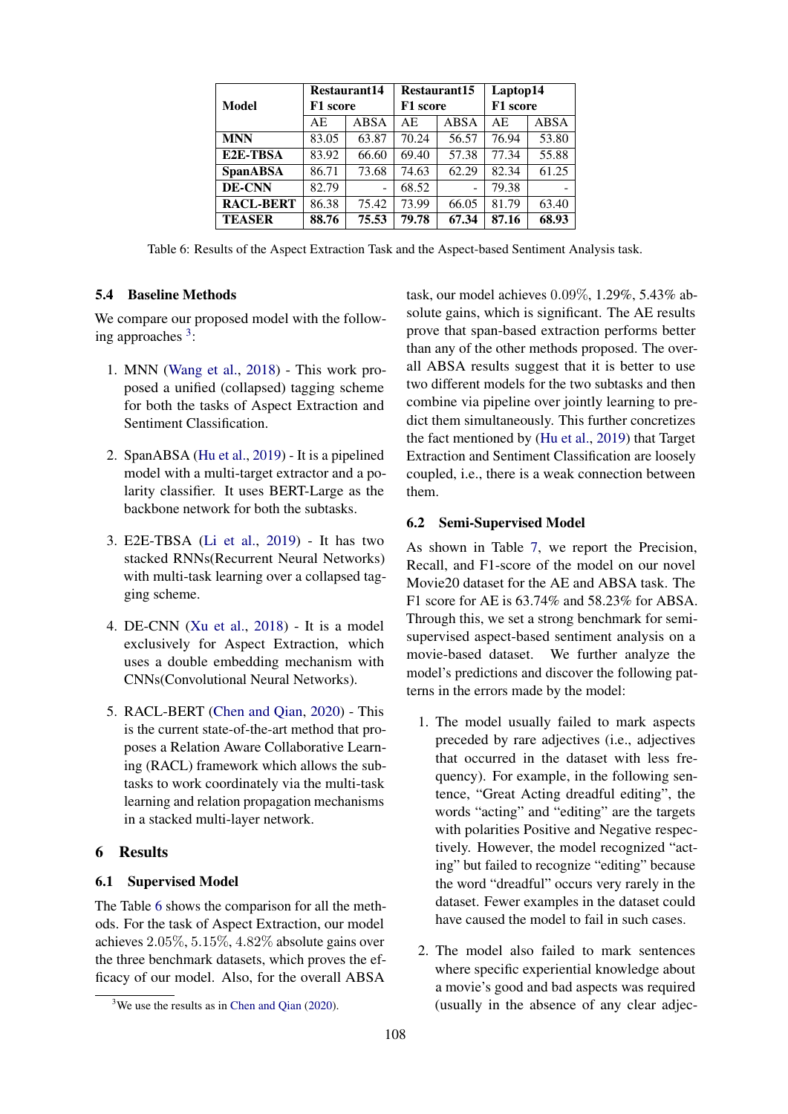<span id="page-6-2"></span>

|                  | <b>Restaurant14</b> |                | Restaurant15 |       | Laptop14 |       |
|------------------|---------------------|----------------|--------------|-------|----------|-------|
| Model            | F1 score            |                | F1 score     |       | F1 score |       |
|                  | АE                  | ABSA           | АE           | ABSA  | AE       | ABSA  |
| <b>MNN</b>       | 83.05               | 63.87          | 70.24        | 56.57 | 76.94    | 53.80 |
| E2E-TBSA         | 83.92               | 66.60          | 69.40        | 57.38 | 77.34    | 55.88 |
| <b>SpanABSA</b>  | 86.71               | 73.68          | 74.63        | 62.29 | 82.34    | 61.25 |
| DE-CNN           | 82.79               | $\overline{a}$ | 68.52        | ۳     | 79.38    |       |
| <b>RACL-BERT</b> | 86.38               | 75.42          | 73.99        | 66.05 | 81.79    | 63.40 |
| <b>TEASER</b>    | 88.76               | 75.53          | 79.78        | 67.34 | 87.16    | 68.93 |

Table 6: Results of the Aspect Extraction Task and the Aspect-based Sentiment Analysis task.

# 5.4 Baseline Methods

We compare our proposed model with the follow-ing approaches <sup>[3](#page-6-1)</sup>:

- 1. MNN [\(Wang et al.,](#page-8-16) [2018\)](#page-8-16) This work proposed a unified (collapsed) tagging scheme for both the tasks of Aspect Extraction and Sentiment Classification.
- 2. SpanABSA [\(Hu et al.,](#page-7-9) [2019\)](#page-7-9) It is a pipelined model with a multi-target extractor and a polarity classifier. It uses BERT-Large as the backbone network for both the subtasks.
- 3. E2E-TBSA [\(Li et al.,](#page-8-12) [2019\)](#page-8-12) It has two stacked RNNs(Recurrent Neural Networks) with multi-task learning over a collapsed tagging scheme.
- 4. DE-CNN [\(Xu et al.,](#page-8-7) [2018\)](#page-8-7) It is a model exclusively for Aspect Extraction, which uses a double embedding mechanism with CNNs(Convolutional Neural Networks).
- 5. RACL-BERT [\(Chen and Qian,](#page-7-11) [2020\)](#page-7-11) This is the current state-of-the-art method that proposes a Relation Aware Collaborative Learning (RACL) framework which allows the subtasks to work coordinately via the multi-task learning and relation propagation mechanisms in a stacked multi-layer network.

# 6 Results

# 6.1 Supervised Model

The Table [6](#page-6-2) shows the comparison for all the methods. For the task of Aspect Extraction, our model achieves 2.05%, 5.15%, 4.82% absolute gains over the three benchmark datasets, which proves the efficacy of our model. Also, for the overall ABSA

task, our model achieves 0.09%, 1.29%, 5.43% absolute gains, which is significant. The AE results prove that span-based extraction performs better than any of the other methods proposed. The overall ABSA results suggest that it is better to use two different models for the two subtasks and then combine via pipeline over jointly learning to predict them simultaneously. This further concretizes the fact mentioned by [\(Hu et al.,](#page-7-9) [2019\)](#page-7-9) that Target Extraction and Sentiment Classification are loosely coupled, i.e., there is a weak connection between them.

## <span id="page-6-0"></span>6.2 Semi-Supervised Model

As shown in Table [7,](#page-7-14) we report the Precision, Recall, and F1-score of the model on our novel Movie20 dataset for the AE and ABSA task. The F1 score for AE is 63.74% and 58.23% for ABSA. Through this, we set a strong benchmark for semisupervised aspect-based sentiment analysis on a movie-based dataset. We further analyze the model's predictions and discover the following patterns in the errors made by the model:

- 1. The model usually failed to mark aspects preceded by rare adjectives (i.e., adjectives that occurred in the dataset with less frequency). For example, in the following sentence, "Great Acting dreadful editing", the words "acting" and "editing" are the targets with polarities Positive and Negative respectively. However, the model recognized "acting" but failed to recognize "editing" because the word "dreadful" occurs very rarely in the dataset. Fewer examples in the dataset could have caused the model to fail in such cases.
- 2. The model also failed to mark sentences where specific experiential knowledge about a movie's good and bad aspects was required (usually in the absence of any clear adjec-

<span id="page-6-1"></span> $3$ We use the results as in [Chen and Qian](#page-7-11) [\(2020\)](#page-7-11).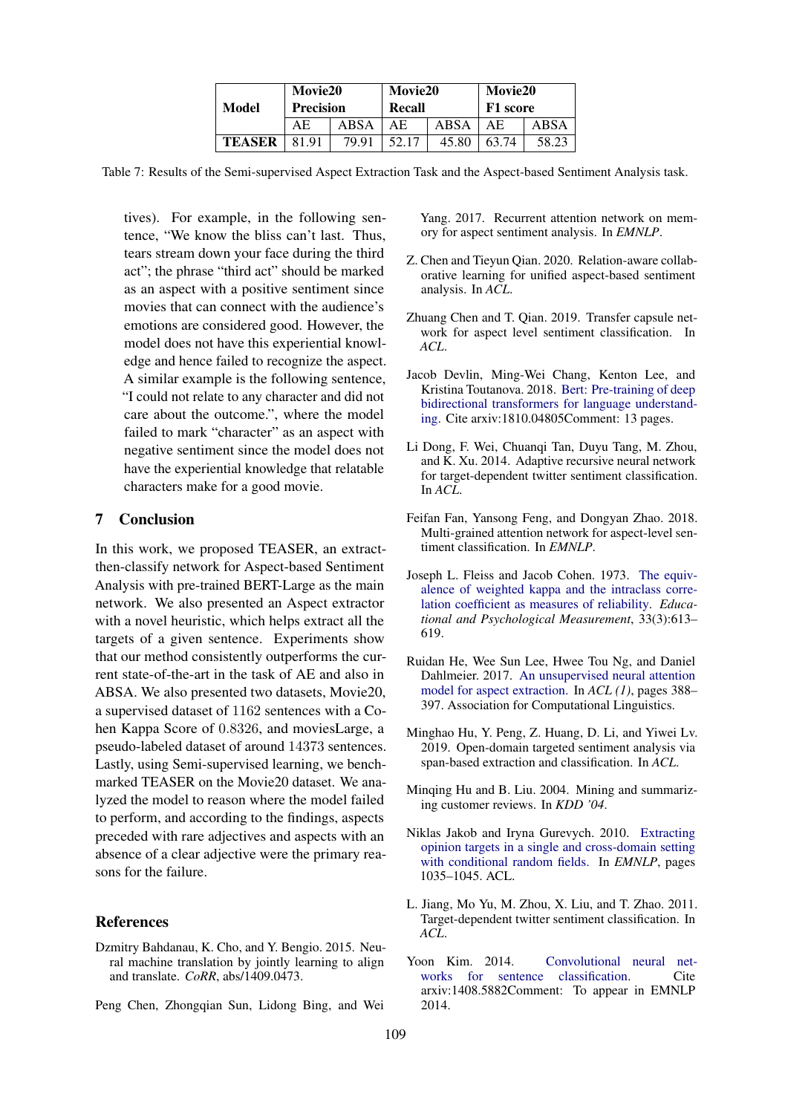|               | <b>Movie20</b>   |       | <b>Movie20</b> |       | <b>Movie20</b> |      |
|---------------|------------------|-------|----------------|-------|----------------|------|
| Model         | <b>Precision</b> |       | Recall         |       | F1 score       |      |
|               | ΑE               | ABSA  | AΕ             | ABSA  | ΑE             | ABSA |
| <b>TEASER</b> | 81 91            | 79.91 | .52.1          | 45.80 | 63.74          | 58.2 |

<span id="page-7-14"></span>Table 7: Results of the Semi-supervised Aspect Extraction Task and the Aspect-based Sentiment Analysis task.

tives). For example, in the following sentence, "We know the bliss can't last. Thus, tears stream down your face during the third act"; the phrase "third act" should be marked as an aspect with a positive sentiment since movies that can connect with the audience's emotions are considered good. However, the model does not have this experiential knowledge and hence failed to recognize the aspect. A similar example is the following sentence, "I could not relate to any character and did not care about the outcome.", where the model failed to mark "character" as an aspect with negative sentiment since the model does not have the experiential knowledge that relatable characters make for a good movie.

# 7 Conclusion

In this work, we proposed TEASER, an extractthen-classify network for Aspect-based Sentiment Analysis with pre-trained BERT-Large as the main network. We also presented an Aspect extractor with a novel heuristic, which helps extract all the targets of a given sentence. Experiments show that our method consistently outperforms the current state-of-the-art in the task of AE and also in ABSA. We also presented two datasets, Movie20, a supervised dataset of 1162 sentences with a Cohen Kappa Score of 0.8326, and moviesLarge, a pseudo-labeled dataset of around 14373 sentences. Lastly, using Semi-supervised learning, we benchmarked TEASER on the Movie20 dataset. We analyzed the model to reason where the model failed to perform, and according to the findings, aspects preceded with rare adjectives and aspects with an absence of a clear adjective were the primary reasons for the failure.

# References

- <span id="page-7-12"></span>Dzmitry Bahdanau, K. Cho, and Y. Bengio. 2015. Neural machine translation by jointly learning to align and translate. *CoRR*, abs/1409.0473.
- <span id="page-7-3"></span>Peng Chen, Zhongqian Sun, Lidong Bing, and Wei

Yang. 2017. Recurrent attention network on memory for aspect sentiment analysis. In *EMNLP*.

- <span id="page-7-11"></span>Z. Chen and Tieyun Qian. 2020. Relation-aware collaborative learning for unified aspect-based sentiment analysis. In *ACL*.
- <span id="page-7-7"></span>Zhuang Chen and T. Qian. 2019. Transfer capsule network for aspect level sentiment classification. In *ACL*.
- <span id="page-7-10"></span>Jacob Devlin, Ming-Wei Chang, Kenton Lee, and Kristina Toutanova. 2018. [Bert: Pre-training of deep](http://arxiv.org/abs/1810.04805) [bidirectional transformers for language understand](http://arxiv.org/abs/1810.04805)[ing.](http://arxiv.org/abs/1810.04805) Cite arxiv:1810.04805Comment: 13 pages.
- <span id="page-7-8"></span>Li Dong, F. Wei, Chuangi Tan, Duyu Tang, M. Zhou, and K. Xu. 2014. Adaptive recursive neural network for target-dependent twitter sentiment classification. In *ACL*.
- <span id="page-7-4"></span>Feifan Fan, Yansong Feng, and Dongyan Zhao. 2018. Multi-grained attention network for aspect-level sentiment classification. In *EMNLP*.
- <span id="page-7-13"></span>Joseph L. Fleiss and Jacob Cohen. 1973. [The equiv](https://doi.org/10.1177/001316447303300309)[alence of weighted kappa and the intraclass corre](https://doi.org/10.1177/001316447303300309)[lation coefficient as measures of reliability.](https://doi.org/10.1177/001316447303300309) *Educational and Psychological Measurement*, 33(3):613– 619.
- <span id="page-7-2"></span>Ruidan He, Wee Sun Lee, Hwee Tou Ng, and Daniel Dahlmeier. 2017. [An unsupervised neural attention](http://dblp.uni-trier.de/db/conf/acl/acl2017-1.html#HeLND17) [model for aspect extraction.](http://dblp.uni-trier.de/db/conf/acl/acl2017-1.html#HeLND17) In *ACL (1)*, pages 388– 397. Association for Computational Linguistics.
- <span id="page-7-9"></span>Minghao Hu, Y. Peng, Z. Huang, D. Li, and Yiwei Lv. 2019. Open-domain targeted sentiment analysis via span-based extraction and classification. In *ACL*.
- <span id="page-7-5"></span>Minqing Hu and B. Liu. 2004. Mining and summarizing customer reviews. In *KDD '04*.
- <span id="page-7-1"></span>Niklas Jakob and Iryna Gurevych. 2010. [Extracting](http://dblp.uni-trier.de/db/conf/emnlp/emnlp2010.html#JakobG10) [opinion targets in a single and cross-domain setting](http://dblp.uni-trier.de/db/conf/emnlp/emnlp2010.html#JakobG10) [with conditional random fields.](http://dblp.uni-trier.de/db/conf/emnlp/emnlp2010.html#JakobG10) In *EMNLP*, pages 1035–1045. ACL.
- <span id="page-7-6"></span>L. Jiang, Mo Yu, M. Zhou, X. Liu, and T. Zhao. 2011. Target-dependent twitter sentiment classification. In *ACL*.
- <span id="page-7-0"></span>Yoon Kim. 2014. [Convolutional neural net](http://arxiv.org/abs/1408.5882)[works for sentence classification.](http://arxiv.org/abs/1408.5882) Cite arxiv:1408.5882Comment: To appear in EMNLP 2014.